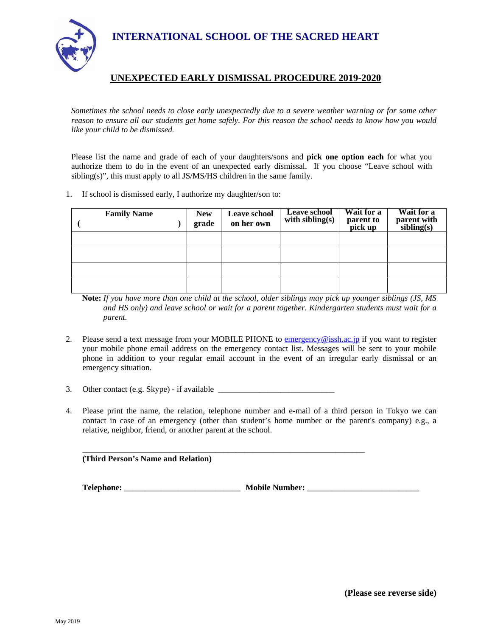**INTERNATIONAL SCHOOL OF THE SACRED HEART** 



## **UNEXPECTED EARLY DISMISSAL PROCEDURE 2019-2020**

*Sometimes the school needs to close early unexpectedly due to a severe weather warning or for some other reason to ensure all our students get home safely. For this reason the school needs to know how you would like your child to be dismissed.* 

Please list the name and grade of each of your daughters/sons and **pick one option each** for what you authorize them to do in the event of an unexpected early dismissal. If you choose "Leave school with sibling(s)", this must apply to all JS/MS/HS children in the same family.

1. If school is dismissed early, I authorize my daughter/son to:

| <b>Family Name</b> | <b>New</b><br>grade | Leave school<br>on her own | <b>Leave school</b><br>with sibling $(s)$ | Wait for a<br>parent to<br>pick up | Wait for a<br>parent with<br>sibling(s) |
|--------------------|---------------------|----------------------------|-------------------------------------------|------------------------------------|-----------------------------------------|
|                    |                     |                            |                                           |                                    |                                         |
|                    |                     |                            |                                           |                                    |                                         |
|                    |                     |                            |                                           |                                    |                                         |
|                    |                     |                            |                                           |                                    |                                         |

**Note:** *If you have more than one child at the school, older siblings may pick up younger siblings (JS, MS and HS only) and leave school or wait for a parent together. Kindergarten students must wait for a parent.*

- 2. Please send a text message from your MOBILE PHONE to emergency@issh.ac.jp if you want to register your mobile phone email address on the emergency contact list. Messages will be sent to your mobile phone in addition to your regular email account in the event of an irregular early dismissal or an emergency situation.
- 3. Other contact (e.g. Skype) if available

 $\mathcal{L}_\text{max} = \frac{1}{2} \sum_{i=1}^{n} \frac{1}{2} \sum_{i=1}^{n} \frac{1}{2} \sum_{i=1}^{n} \frac{1}{2} \sum_{i=1}^{n} \frac{1}{2} \sum_{i=1}^{n} \frac{1}{2} \sum_{i=1}^{n} \frac{1}{2} \sum_{i=1}^{n} \frac{1}{2} \sum_{i=1}^{n} \frac{1}{2} \sum_{i=1}^{n} \frac{1}{2} \sum_{i=1}^{n} \frac{1}{2} \sum_{i=1}^{n} \frac{1}{2} \sum_{i=1}^{n} \frac{1$ 

4. Please print the name, the relation, telephone number and e-mail of a third person in Tokyo we can contact in case of an emergency (other than student's home number or the parent's company) e.g., a relative, neighbor, friend, or another parent at the school.

 **(Third Person's Name and Relation)** 

**Telephone:** \_\_\_\_\_\_\_\_\_\_\_\_\_\_\_\_\_\_\_\_\_\_\_\_\_\_\_\_ **Mobile Number:** \_\_\_\_\_\_\_\_\_\_\_\_\_\_\_\_\_\_\_\_\_\_\_\_\_\_\_